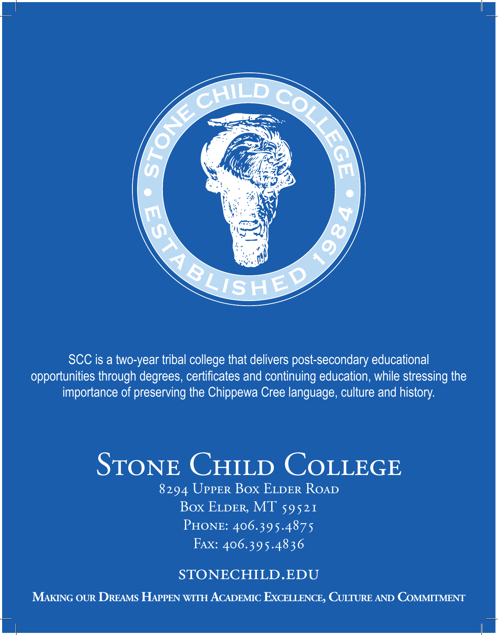

SCC is a two-year tribal college that delivers post-secondary educational opportunities through degrees, certificates and continuing education, while stressing the importance of preserving the Chippewa Cree language, culture and history.

# STONE CHILD COLLEGE

8294 Upper Box Elder Road Box ELDER, MT 59521 PHONE: 406.395.4875 Fax: 406.395.4836

# stonechild.edu

**Making our Dreams Happen with Academic Excellence, Culture and Commitment**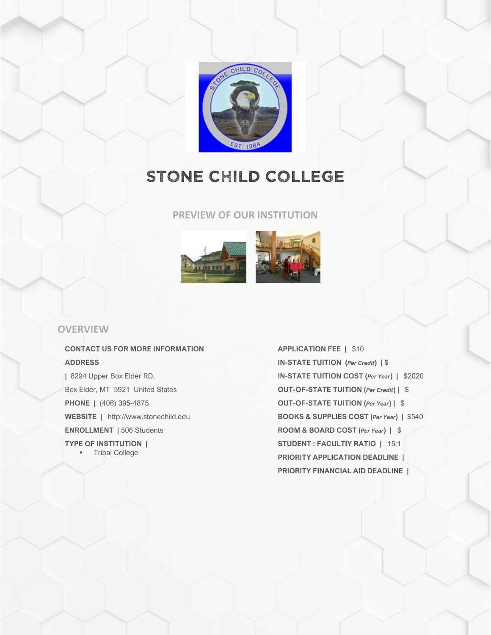

# STONE CHILD COLLEGE

#### **PREVIEW OF OUR INSTITUTION**



#### **OVERVIEW**

**CONTACT US FOR MORE INFORMATION ADDRESS |** 8294 Upper Box Elder RD, Box Elder, MT 5921 United States

**PHONE |** (406) 395-4875

**WEBSITE |** http://www.stonechild.edu **ENROLLMENT |** 506 Students

**TYPE OF INSTITUTION |**

■ Tribal College

**APPLICATION FEE |** \$10 **IN-STATE TUITION (***Per Credit***) |** \$ **IN-STATE TUITION COST (***Per Year***) |** \$2020 **OUT-OF-STATE TUITION (***Per Credit***) |** \$ **OUT-OF-STATE TUITION (***Per Year***) |** \$ **BOOKS & SUPPLIES COST (***Per Year***) |** \$540 **ROOM & BOARD COST (***Per Year***) |** \$ **STUDENT : FACULTIY RATIO |** 15:1 **PRIORITY APPLICATION DEADLINE | PRIORITY FINANCIAL AID DEADLINE |**